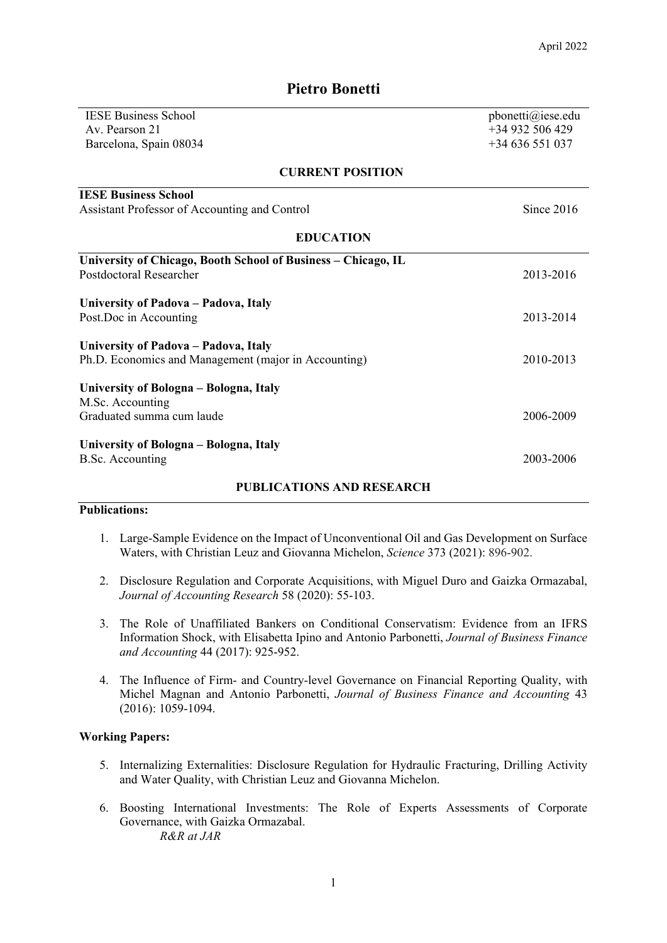| <b>IESE Business School</b>                                   | pbonetti@iese.edu |  |
|---------------------------------------------------------------|-------------------|--|
| Av. Pearson 21                                                | +34 932 506 429   |  |
| Barcelona, Spain 08034                                        | $+34636551037$    |  |
| <b>CURRENT POSITION</b>                                       |                   |  |
| <b>IESE Business School</b>                                   |                   |  |
| Assistant Professor of Accounting and Control                 | Since 2016        |  |
| <b>EDUCATION</b>                                              |                   |  |
| University of Chicago, Booth School of Business - Chicago, IL |                   |  |
| Postdoctoral Researcher                                       | 2013-2016         |  |
| University of Padova - Padova, Italy                          |                   |  |
| Post. Doc in Accounting                                       | 2013-2014         |  |
| University of Padova - Padova, Italy                          |                   |  |
| Ph.D. Economics and Management (major in Accounting)          | 2010-2013         |  |
| University of Bologna - Bologna, Italy                        |                   |  |
| M.Sc. Accounting                                              |                   |  |
| Graduated summa cum laude                                     | 2006-2009         |  |
| University of Bologna - Bologna, Italy                        |                   |  |
| <b>B.Sc.</b> Accounting                                       | 2003-2006         |  |
| <b>PUBLICATIONS AND RESEARCH</b>                              |                   |  |

# **Pietro Bonetti**

### **Publications:**

- 1. Large-Sample Evidence on the Impact of Unconventional Oil and Gas Development on Surface Waters, with Christian Leuz and Giovanna Michelon, *Science* 373 (2021): 896-902.
- 2. Disclosure Regulation and Corporate Acquisitions, with Miguel Duro and Gaizka Ormazabal, *Journal of Accounting Research* 58 (2020): 55-103.
- 3. The Role of Unaffiliated Bankers on Conditional Conservatism: Evidence from an IFRS Information Shock, with Elisabetta Ipino and Antonio Parbonetti, *Journal of Business Finance and Accounting* 44 (2017): 925-952.
- 4. The Influence of Firm- and Country-level Governance on Financial Reporting Quality, with Michel Magnan and Antonio Parbonetti, *Journal of Business Finance and Accounting* 43 (2016): 1059-1094.

#### **Working Papers:**

- 5. Internalizing Externalities: Disclosure Regulation for Hydraulic Fracturing, Drilling Activity and Water Quality, with Christian Leuz and Giovanna Michelon.
- 6. Boosting International Investments: The Role of Experts Assessments of Corporate Governance, with Gaizka Ormazabal. *R&R at JAR*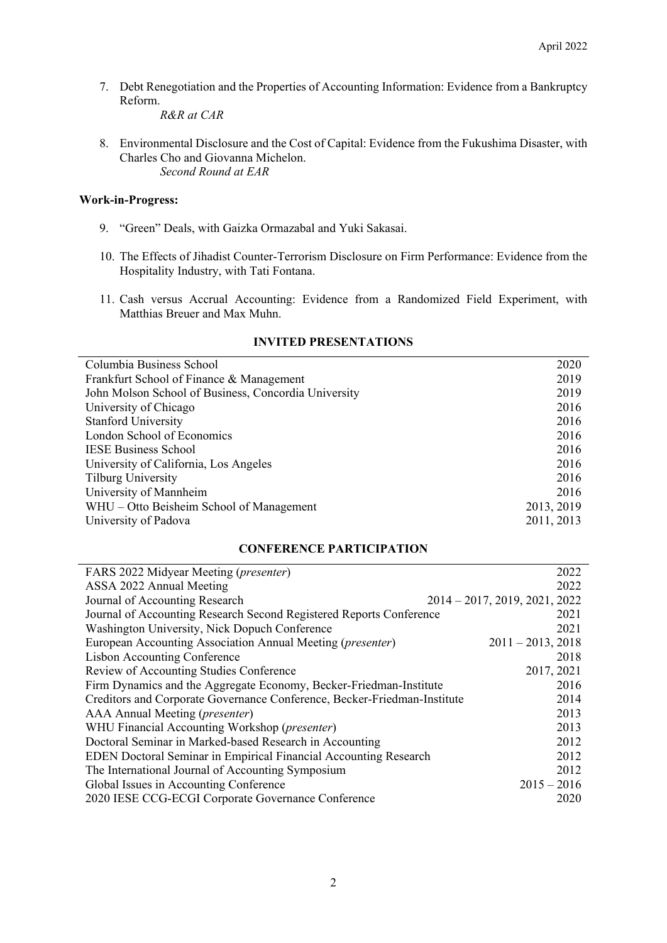7. Debt Renegotiation and the Properties of Accounting Information: Evidence from a Bankruptcy Reform.

*R&R at CAR* 

8. Environmental Disclosure and the Cost of Capital: Evidence from the Fukushima Disaster, with Charles Cho and Giovanna Michelon. *Second Round at EAR*

### **Work-in-Progress:**

- 9. "Green" Deals, with Gaizka Ormazabal and Yuki Sakasai.
- 10. The Effects of Jihadist Counter-Terrorism Disclosure on Firm Performance: Evidence from the Hospitality Industry, with Tati Fontana.
- 11. Cash versus Accrual Accounting: Evidence from a Randomized Field Experiment, with Matthias Breuer and Max Muhn.

| Columbia Business School                             | 2020       |
|------------------------------------------------------|------------|
| Frankfurt School of Finance & Management             | 2019       |
| John Molson School of Business, Concordia University | 2019       |
| University of Chicago                                | 2016       |
| <b>Stanford University</b>                           | 2016       |
| London School of Economics                           | 2016       |
| <b>IESE Business School</b>                          | 2016       |
| University of California, Los Angeles                | 2016       |
| Tilburg University                                   | 2016       |
| University of Mannheim                               | 2016       |
| WHU – Otto Beisheim School of Management             | 2013, 2019 |
| University of Padova                                 | 2011, 2013 |

# **INVITED PRESENTATIONS**

### **CONFERENCE PARTICIPATION**

| FARS 2022 Midyear Meeting ( <i>presenter</i> )                           | 2022                             |
|--------------------------------------------------------------------------|----------------------------------|
| ASSA 2022 Annual Meeting                                                 | 2022                             |
| Journal of Accounting Research                                           | $2014 - 2017$ , 2019, 2021, 2022 |
| Journal of Accounting Research Second Registered Reports Conference      | 2021                             |
| Washington University, Nick Dopuch Conference                            | 2021                             |
| European Accounting Association Annual Meeting ( <i>presenter</i> )      | $2011 - 2013$ , 2018             |
| <b>Lisbon Accounting Conference</b>                                      | 2018                             |
| Review of Accounting Studies Conference                                  | 2017, 2021                       |
| Firm Dynamics and the Aggregate Economy, Becker-Friedman-Institute       | 2016                             |
| Creditors and Corporate Governance Conference, Becker-Friedman-Institute | 2014                             |
| AAA Annual Meeting ( <i>presenter</i> )                                  | 2013                             |
| WHU Financial Accounting Workshop (presenter)                            | 2013                             |
| Doctoral Seminar in Marked-based Research in Accounting                  | 2012                             |
| EDEN Doctoral Seminar in Empirical Financial Accounting Research         | 2012                             |
| The International Journal of Accounting Symposium                        | 2012                             |
| Global Issues in Accounting Conference                                   | $2015 - 2016$                    |
| 2020 IESE CCG-ECGI Corporate Governance Conference                       | 2020                             |